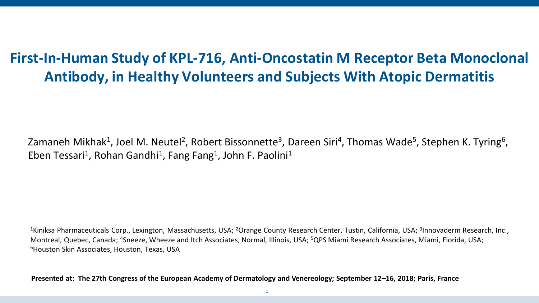# **First-In-Human Study of KPL-716, Anti-Oncostatin M Receptor Beta Monoclonal Antibody, in Healthy Volunteers and Subjects With Atopic Dermatitis**

Zamaneh Mikhak<sup>1</sup>, Joel M. Neutel<sup>2</sup>, Robert Bissonnette<sup>3</sup>, Dareen Siri<sup>4</sup>, Thomas Wade<sup>5</sup>, Stephen K. Tyring<sup>6</sup>, Eben Tessari<sup>1</sup>, Rohan Gandhi<sup>1</sup>, Fang Fang<sup>1</sup>, John F. Paolini<sup>1</sup>

<sup>1</sup>Kiniksa Pharmaceuticals Corp., Lexington, Massachusetts, USA; <sup>2</sup>Orange County Research Center, Tustin, California, USA; <sup>3</sup>Innovaderm Research, Inc., Montreal, Quebec, Canada; <sup>4</sup>Sneeze, Wheeze and Itch Associates, Normal, Illinois, USA; <sup>5</sup>QPS Miami Research Associates, Miami, Florida, USA; <sup>6</sup>Houston Skin Associates, Houston, Texas, USA

**Presented at: The 27th Congress of the European Academy of Dermatology and Venereology; September 12–16, 2018; Paris, France**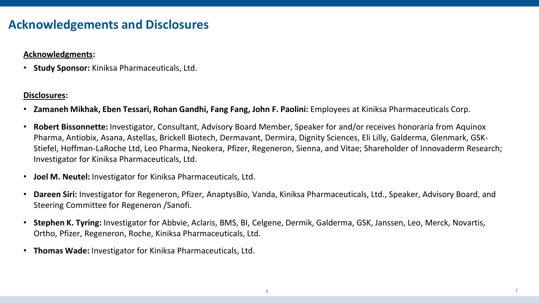### **Acknowledgements and Disclosures**

#### **Acknowledgments:**

• **Study Sponsor:** Kiniksa Pharmaceuticals, Ltd.

#### **Disclosures:**

- **Zamaneh Mikhak, Eben Tessari, Rohan Gandhi, Fang Fang, John F. Paolini:** Employees at Kiniksa Pharmaceuticals Corp.
- **Robert Bissonnette:** Investigator, Consultant, Advisory Board Member, Speaker for and/or receives honoraria from Aquinox Pharma, Antiobix, Asana, Astellas, Brickell Biotech, Dermavant, Dermira, Dignity Sciences, Eli Lilly, Galderma, Glenmark, GSK-Stiefel, Hoffman-LaRoche Ltd, Leo Pharma, Neokera, Pfizer, Regeneron, Sienna, and Vitae; Shareholder of Innovaderm Research; Investigator for Kiniksa Pharmaceuticals, Ltd.
- **Joel M. Neutel:** Investigator for Kiniksa Pharmaceuticals, Ltd.
- **Dareen Siri:** Investigator for Regeneron, Pfizer, AnaptysBio, Vanda, Kiniksa Pharmaceuticals, Ltd., Speaker, Advisory Board, and Steering Committee for Regeneron /Sanofi.
- **Stephen K. Tyring:** Investigator for Abbvie, Aclaris, BMS, BI, Celgene, Dermik, Galderma, GSK, Janssen, Leo, Merck, Novartis, Ortho, Pfizer, Regeneron, Roche, Kiniksa Pharmaceuticals, Ltd.
- **Thomas Wade:** Investigator for Kiniksa Pharmaceuticals, Ltd.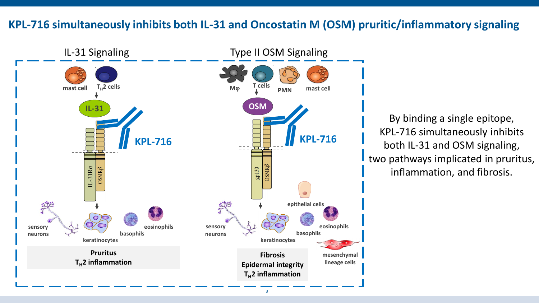#### **KPL-716 simultaneously inhibits both IL-31 and Oncostatin M (OSM) pruritic/inflammatory signaling**



By binding a single epitope, KPL-716 simultaneously inhibits both IL-31 and OSM signaling, two pathways implicated in pruritus, inflammation, and fibrosis.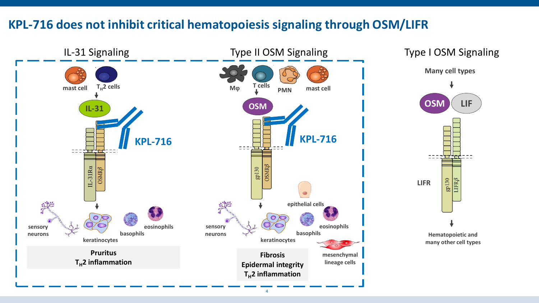## **KPL-716 does not inhibit critical hematopoiesis signaling through OSM/LIFR**

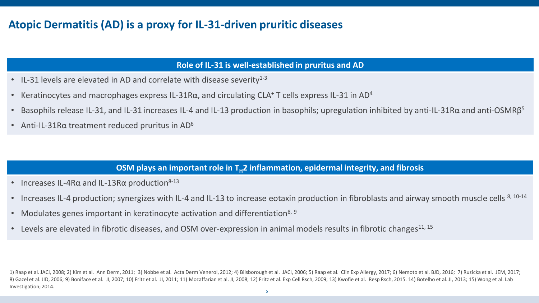### **Atopic Dermatitis (AD) is a proxy for IL-31-driven pruritic diseases**

#### **Role of IL-31 is well-established in pruritus and AD**

- IL-31 levels are elevated in AD and correlate with disease severity $1-3$
- Keratinocytes and macrophages express IL-31R $\alpha$ , and circulating CLA<sup>+</sup> T cells express IL-31 in AD<sup>4</sup>
- Basophils release IL-31, and IL-31 increases IL-4 and IL-13 production in basophils; upregulation inhibited by anti-IL-31Rα and anti-OSMRβ<sup>5</sup>
- Anti-IL-31R $\alpha$  treatment reduced pruritus in AD<sup>6</sup>

#### **OSM plays an important role in T<sub>H</sub>2 inflammation, epidermal integrity, and fibrosis**

- Increases IL-4R $\alpha$  and IL-13R $\alpha$  production<sup>8-13</sup>
- Increases IL-4 production; synergizes with IL-4 and IL-13 to increase eotaxin production in fibroblasts and airway smooth muscle cells  $8, 10-14$
- Modulates genes important in keratinocyte activation and differentiation<sup>8, 9</sup>
- Levels are elevated in fibrotic diseases, and OSM over-expression in animal models results in fibrotic changes<sup>11, 15</sup>

1) Raap et al. JACI, 2008; 2) Kim et al. Ann Derm, 2011; 3) Nobbe et al. Acta Derm Venerol, 2012; 4) Bilsborough et al. JACI, 2006; 5) Raap et al. Clin Exp Allergy, 2017; 6) Nemoto et al. BJD, 2016; 7) Ruzicka et al. JEM, 8) Gazel et al. JID, 2006; 9) Boniface et al. JI, 2007; 10) Fritz et al. JI, 2011; 11) Mozaffarian et al. JI, 2008; 12) Fritz et al. Exp Cell Rsch, 2009; 13) Kwofie et al. Resp Rsch, 2015. 14) Botelho et al. JI, 2013; 15) Investigation; 2014.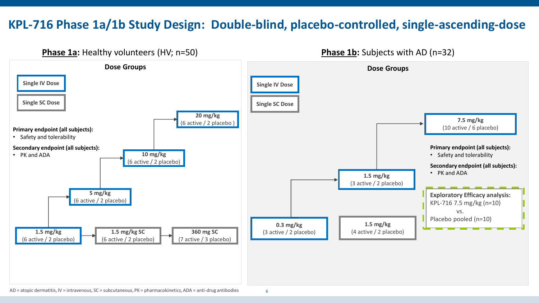# **KPL-716 Phase 1a/1b Study Design: Double-blind, placebo-controlled, single-ascending-dose**



AD = atopic dermatitis, IV = intravenous, SC = subcutaneous, PK = pharmacokinetics, ADA = anti-drug antibodies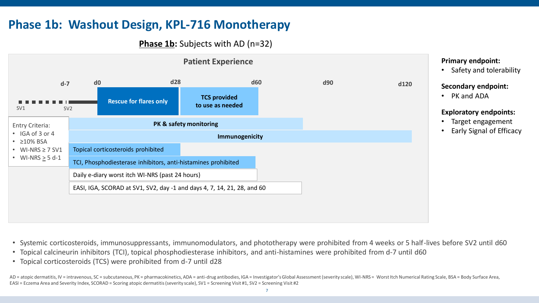# **Phase 1b: Washout Design, KPL-716 Monotherapy**

**Phase 1b:** Subjects with AD (n=32)



#### **Primary endpoint:**

• Safety and tolerability

#### **Secondary endpoint:**

• PK and ADA

#### **Exploratory endpoints:**

- Target engagement
- Early Signal of Efficacy

- Systemic corticosteroids, immunosuppressants, immunomodulators, and phototherapy were prohibited from 4 weeks or 5 half-lives before SV2 until d60
- Topical calcineurin inhibitors (TCI), topical phosphodiesterase inhibitors, and anti-histamines were prohibited from d-7 until d60
- Topical corticosteroids (TCS) were prohibited from d-7 until d28

AD = atopic dermatitis, IV = intravenous, SC = subcutaneous, PK = pharmacokinetics, ADA = anti-drug antibodies, IGA = Investigator's Global Assessment (severity scale), WI-NRS = Worst Itch Numerical Rating Scale, BSA = Bod EASI = Eczema Area and Severity Index, SCORAD = Scoring atopic dermatitis (severity scale), SV1 = Screening Visit #1, SV2 = Screening Visit #2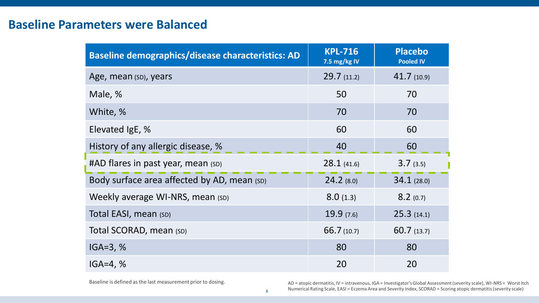### **Baseline Parameters were Balanced**

| <b>Baseline demographics/disease characteristics: AD</b> | <b>KPL-716</b><br>7.5 mg/kg IV | <b>Placebo</b><br><b>Pooled IV</b> |  |
|----------------------------------------------------------|--------------------------------|------------------------------------|--|
| Age, mean (SD), years                                    | 29.7(11.2)                     | 41.7(10.9)                         |  |
| Male, %                                                  | 50                             | 70                                 |  |
| White, %                                                 | 70                             | 70                                 |  |
| Elevated IgE, %                                          | 60                             | 60                                 |  |
| History of any allergic disease, %                       | 40                             | 60                                 |  |
| #AD flares in past year, mean (SD)                       | 28.1(41.6)                     | 3.7(3.5)                           |  |
| Body surface area affected by AD, mean (SD)              | $24.2$ (8.0)                   | 34.1(28.0)                         |  |
| Weekly average WI-NRS, mean (SD)                         | 8.0(1.3)                       | 8.2(0.7)                           |  |
| Total EASI, mean (SD)                                    | 19.9(7.6)                      | 25.3(14.1)                         |  |
| Total SCORAD, mean (SD)                                  | 66.7(10.7)                     | 60.7(13.7)                         |  |
| $IGA=3, %$                                               | 80                             | 80                                 |  |
| $IGA = 4, %$                                             | 20                             | 20                                 |  |

Baseline is defined as the last measurement prior to dosing. <br>AD = atopic dermatitis, IV = intravenous, IGA = Investigator's Global Assessment (severity scale), WI-NRS = Worst Itch Numerical Rating Scale, EASI = Eczema Area and Severity Index, SCORAD = Scoring atopic dermatitis (severity scale)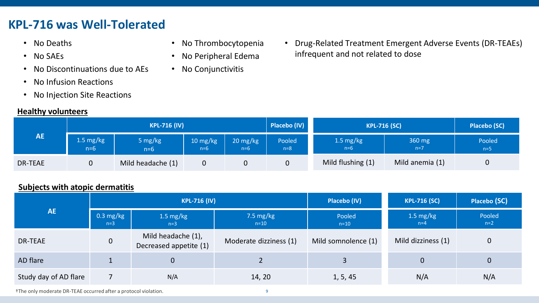# **KPL-716 was Well-Tolerated**

- No Deaths
- No SAEs
- No Discontinuations due to AEs
- No Infusion Reactions
- No Injection Site Reactions

#### **Healthy volunteers**

- No Thrombocytopenia
- No Peripheral Edema
- No Conjunctivitis

• Drug-Related Treatment Emergent Adverse Events (DR-TEAEs) infrequent and not related to dose

| AE             | <b>KPL-716 (IV)</b>  |                   |                   |                   | Placebo (IV)    | <b>KPL-716 (SC)</b>          |                 | <b>Placebo (SC)</b> |
|----------------|----------------------|-------------------|-------------------|-------------------|-----------------|------------------------------|-----------------|---------------------|
|                | 1.5 $mg/kg$<br>$n=6$ | 5 mg/kg<br>$n=6$  | 10 mg/kg<br>$n=6$ | 20 mg/kg<br>$n=6$ | Pooled<br>$n=8$ | $1.5 \text{ mg/kg}$<br>$n=6$ | 360 mg<br>$n=7$ | Pooled<br>$n=5$     |
| <b>DR-TEAE</b> |                      | Mild headache (1) |                   |                   | 0               | Mild flushing (1)            | Mild anemia (1) | 0                   |

#### **Subjects with atopic dermatitis**

| AE                    | <b>KPL-716 (IV)</b>          |                                              |                        | Placebo (IV)        | <b>KPL-716 (SC)</b>  | Placebo (SC)    |
|-----------------------|------------------------------|----------------------------------------------|------------------------|---------------------|----------------------|-----------------|
|                       | $0.3 \text{ mg/kg}$<br>$n=3$ | 1.5 $mg/kg$<br>$n=3$                         | 7.5 $mg/kg$<br>$n=10$  | Pooled<br>$n=10$    | 1.5 $mg/kg$<br>$n=4$ | Pooled<br>$n=2$ |
| DR-TEAE               | $\overline{0}$               | Mild headache (1),<br>Decreased appetite (1) | Moderate dizziness (1) | Mild somnolence (1) | Mild dizziness (1)   | $\mathbf 0$     |
| AD flare              |                              | $\overline{0}$                               |                        | 3                   | $\overline{0}$       | $\mathbf{0}$    |
| Study day of AD flare |                              | N/A                                          | 14, 20                 | 1, 5, 45            | N/A                  | N/A             |

†The only moderate DR-TEAE occurred after a protocol violation.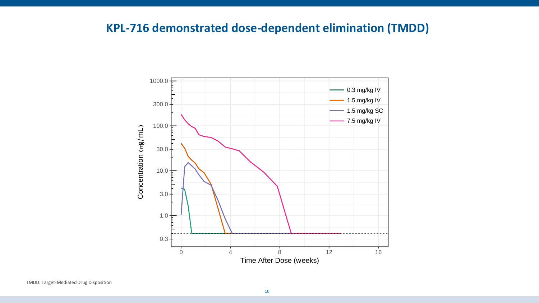# **KPL-716 demonstrated dose-dependent elimination (TMDD)**

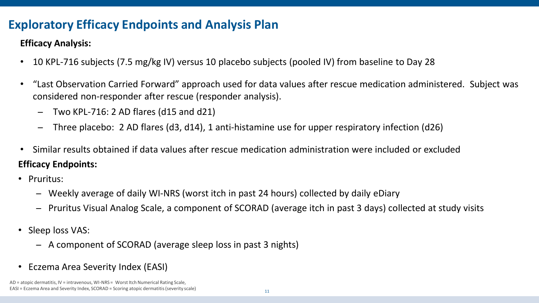# **Exploratory Efficacy Endpoints and Analysis Plan**

#### **Efficacy Analysis:**

- 10 KPL-716 subjects (7.5 mg/kg IV) versus 10 placebo subjects (pooled IV) from baseline to Day 28
- "Last Observation Carried Forward" approach used for data values after rescue medication administered. Subject was considered non-responder after rescue (responder analysis).
	- ̶ Two KPL-716: 2 AD flares (d15 and d21)
	- ̶ Three placebo: 2 AD flares (d3, d14), 1 anti-histamine use for upper respiratory infection (d26)
- **Efficacy Endpoints:** • Similar results obtained if data values after rescue medication administration were included or excluded
- Pruritus:
	- ̶ Weekly average of daily WI-NRS (worst itch in past 24 hours) collected by daily eDiary
	- ̶ Pruritus Visual Analog Scale, a component of SCORAD (average itch in past 3 days) collected at study visits
- Sleep loss VAS:
	- ̶ A component of SCORAD (average sleep loss in past 3 nights)
- Eczema Area Severity Index (EASI)

AD = atopic dermatitis, IV = intravenous, WI-NRS = Worst Itch Numerical Rating Scale, EASI = Eczema Area and Severity Index, SCORAD = Scoring atopic dermatitis (severity scale)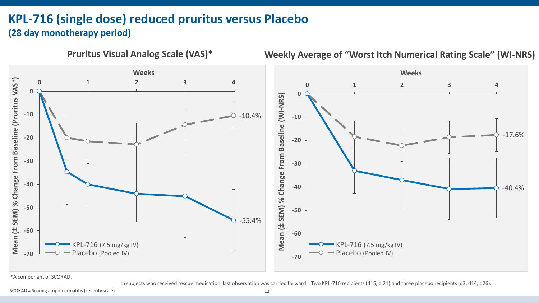# **KPL-716 (single dose) reduced pruritus versus Placebo (28 day monotherapy period)**



\*A component of SCORAD.

In subjects who received rescue medication, last observation was carried forward. Two KPL-716 recipients (d15, d 21) and three placebo recipients (d3, d14, d26).

SCORAD = Scoring atopic dermatitis (severity scale)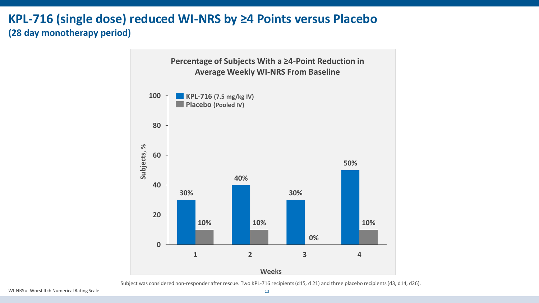### **KPL-716 (single dose) reduced WI-NRS by ≥4 Points versus Placebo (28 day monotherapy period)**



Subject was considered non-responder after rescue. Two KPL-716 recipients (d15, d 21) and three placebo recipients (d3, d14, d26).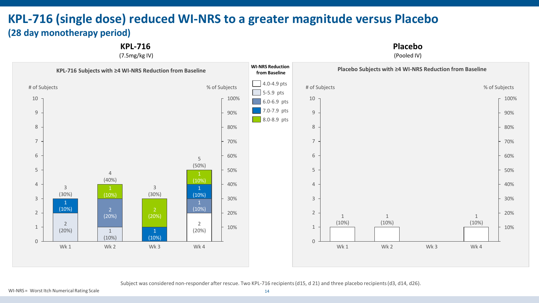## **KPL-716 (single dose) reduced WI-NRS to a greater magnitude versus Placebo (28 day monotherapy period)**

**KPL-716** 

(7.5mg/kg IV)

**Placebo**

(Pooled IV)



Subject was considered non-responder after rescue. Two KPL-716 recipients (d15, d 21) and three placebo recipients (d3, d14, d26).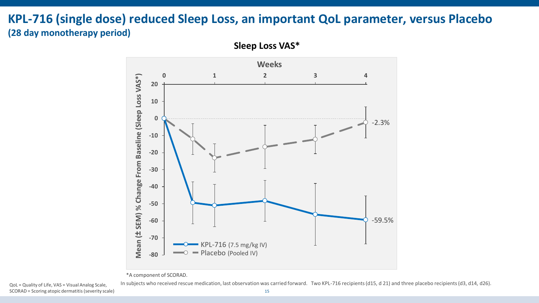### **KPL-716 (single dose) reduced Sleep Loss, an important QoL parameter, versus Placebo (28 day monotherapy period)**



**Sleep Loss VAS\***

\*A component of SCORAD.

SCORAD = Scoring atopic dermatitis (severity scale)

QoL = Quality of Life, VAS = Visual Analog Scale, In subjects who received rescue medication, last observation was carried forward. Two KPL-716 recipients (d15, d 21) and three placebo recipients (d3, d14, d26).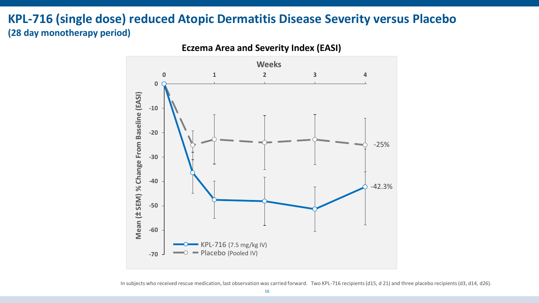### **KPL-716 (single dose) reduced Atopic Dermatitis Disease Severity versus Placebo (28 day monotherapy period)**

**-70 -60 -50 -40 -30 -20 -10 0 0 1 2 3 4 Mean ( ± SEM) % Change From Baseline (EASI) Weeks Eczema Area and Severity Index (EASI)** Placebo (Pooled IV) KPL-716 (7.5 mg/kg IV) -42.3% -25%

In subjects who received rescue medication, last observation was carried forward. Two KPL-716 recipients (d15, d 21) and three placebo recipients (d3, d14, d26).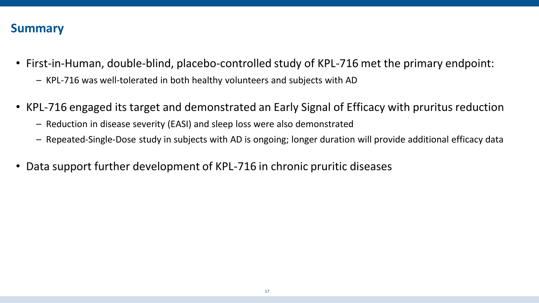### **Summary**

- First-in-Human, double-blind, placebo-controlled study of KPL-716 met the primary endpoint:
	- KPL-716 was well-tolerated in both healthy volunteers and subjects with AD
- KPL-716 engaged its target and demonstrated an Early Signal of Efficacy with pruritus reduction
	- Reduction in disease severity (EASI) and sleep loss were also demonstrated
	- Repeated-Single-Dose study in subjects with AD is ongoing; longer duration will provide additional efficacy data
- Data support further development of KPL-716 in chronic pruritic diseases